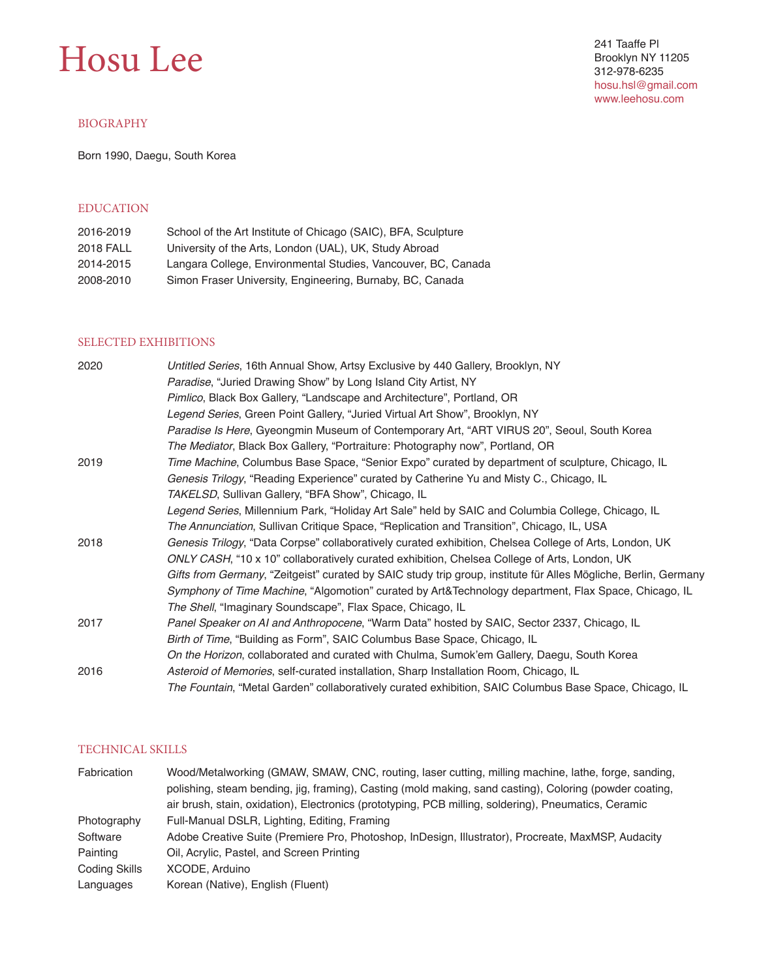# Hosu Lee

# BIOGRAPHY

Born 1990, Daegu, South Korea

## EDUCATION

| 2016-2019        | School of the Art Institute of Chicago (SAIC), BFA, Sculpture |
|------------------|---------------------------------------------------------------|
| <b>2018 FALL</b> | University of the Arts, London (UAL), UK, Study Abroad        |
| 2014-2015        | Langara College, Environmental Studies, Vancouver, BC, Canada |
| 2008-2010        | Simon Fraser University, Engineering, Burnaby, BC, Canada     |

# SELECTED EXHIBITIONS

| 2020 | Untitled Series, 16th Annual Show, Artsy Exclusive by 440 Gallery, Brooklyn, NY                                 |
|------|-----------------------------------------------------------------------------------------------------------------|
|      | <i>Paradise, "Juried Drawing Show" by Long Island City Artist, NY</i>                                           |
|      | <i>Pimlico</i> , Black Box Gallery, "Landscape and Architecture", Portland, OR                                  |
|      | Legend Series, Green Point Gallery, "Juried Virtual Art Show", Brooklyn, NY                                     |
|      | Paradise Is Here, Gyeongmin Museum of Contemporary Art, "ART VIRUS 20", Seoul, South Korea                      |
|      | <i>The Mediator</i> , Black Box Gallery, "Portraiture: Photography now", Portland, OR                           |
| 2019 | Time Machine, Columbus Base Space, "Senior Expo" curated by department of sculpture, Chicago, IL                |
|      | Genesis Trilogy, "Reading Experience" curated by Catherine Yu and Misty C., Chicago, IL                         |
|      | TAKELSD, Sullivan Gallery, "BFA Show", Chicago, IL                                                              |
|      | Legend Series, Millennium Park, "Holiday Art Sale" held by SAIC and Columbia College, Chicago, IL               |
|      | The Annunciation, Sullivan Critique Space, "Replication and Transition", Chicago, IL, USA                       |
| 2018 | Genesis Trilogy, "Data Corpse" collaboratively curated exhibition, Chelsea College of Arts, London, UK          |
|      | ONLY CASH, "10 x 10" collaboratively curated exhibition, Chelsea College of Arts, London, UK                    |
|      | Gifts from Germany, "Zeitgeist" curated by SAIC study trip group, institute für Alles Mögliche, Berlin, Germany |
|      | Symphony of Time Machine, "Algomotion" curated by Art&Technology department, Flax Space, Chicago, IL            |
|      | <i>The Shell</i> , "Imaginary Soundscape", Flax Space, Chicago, IL                                              |
| 2017 | Panel Speaker on AI and Anthropocene, "Warm Data" hosted by SAIC, Sector 2337, Chicago, IL                      |
|      | <i>Birth of Time, "Building as Form", SAIC Columbus Base Space, Chicago, IL</i>                                 |
|      | On the Horizon, collaborated and curated with Chulma, Sumok'em Gallery, Daegu, South Korea                      |
| 2016 | Asteroid of Memories, self-curated installation, Sharp Installation Room, Chicago, IL                           |
|      | The Fountain, "Metal Garden" collaboratively curated exhibition, SAIC Columbus Base Space, Chicago, IL          |

# TECHNICAL SKILLS

| Fabrication          | Wood/Metalworking (GMAW, SMAW, CNC, routing, laser cutting, milling machine, lathe, forge, sanding,     |
|----------------------|---------------------------------------------------------------------------------------------------------|
|                      | polishing, steam bending, jig, framing), Casting (mold making, sand casting), Coloring (powder coating, |
|                      | air brush, stain, oxidation), Electronics (prototyping, PCB milling, soldering), Pneumatics, Ceramic    |
| Photography          | Full-Manual DSLR, Lighting, Editing, Framing                                                            |
| Software             | Adobe Creative Suite (Premiere Pro, Photoshop, InDesign, Illustrator), Procreate, MaxMSP, Audacity      |
| Painting             | Oil, Acrylic, Pastel, and Screen Printing                                                               |
| <b>Coding Skills</b> | XCODE, Arduino                                                                                          |
| Languages            | Korean (Native), English (Fluent)                                                                       |